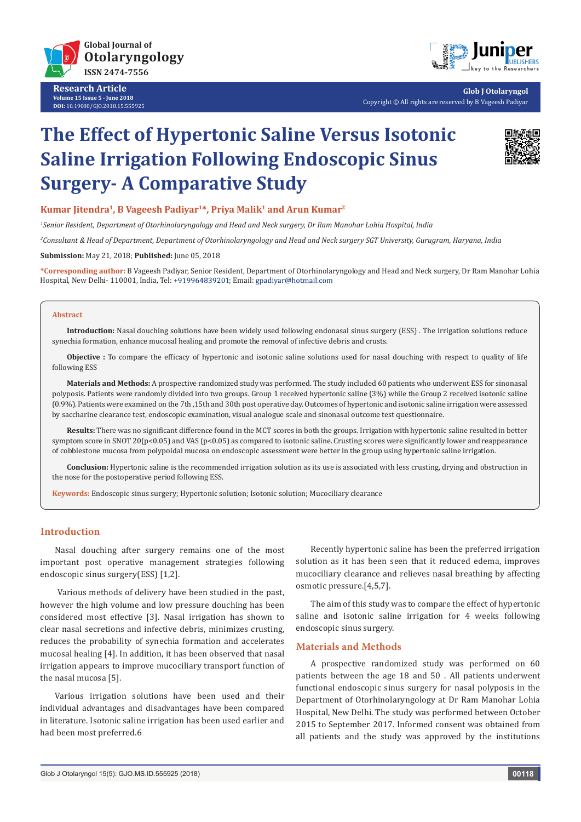

**Research Article Volume 15 Issue 5 - June 2018 DOI:** [10.19080/GJO.2018.15.555925](http://dx.doi.org/10.19080/GJO.2018.15.555925)



**Glob J Otolaryngol** Copyright © All rights are reserved by B Vageesh Padiyar

# **The Effect of Hypertonic Saline Versus Isotonic Saline Irrigation Following Endoscopic Sinus Surgery- A Comparative Study**



## **Kumar Jitendra1, B Vageesh Padiyar1\*, Priya Malik1 and Arun Kumar2**

*1 Senior Resident, Department of Otorhinolaryngology and Head and Neck surgery, Dr Ram Manohar Lohia Hospital, India*

*2 Consultant & Head of Department, Department of Otorhinolaryngology and Head and Neck surgery SGT University, Gurugram, Haryana, India* 

**Submission:** May 21, 2018; **Published:** June 05, 2018

**\*Corresponding author:** B Vageesh Padiyar, Senior Resident, Department of Otorhinolaryngology and Head and Neck surgery, Dr Ram Manohar Lohia Hospital, New Delhi- 110001, India, Tel: +919964839201; Email: gpadiyar@hotmail.com

#### **Abstract**

**Introduction:** Nasal douching solutions have been widely used following endonasal sinus surgery (ESS) . The irrigation solutions reduce synechia formation, enhance mucosal healing and promote the removal of infective debris and crusts.

**Objective :** To compare the efficacy of hypertonic and isotonic saline solutions used for nasal douching with respect to quality of life following ESS

**Materials and Methods:** A prospective randomized study was performed. The study included 60 patients who underwent ESS for sinonasal polyposis. Patients were randomly divided into two groups. Group 1 received hypertonic saline (3%) while the Group 2 received isotonic saline (0.9%). Patients were examined on the 7th ,15th and 30th post operative day. Outcomes of hypertonic and isotonic saline irrigation were assessed by saccharine clearance test, endoscopic examination, visual analogue scale and sinonasal outcome test questionnaire.

**Results:** There was no significant difference found in the MCT scores in both the groups. Irrigation with hypertonic saline resulted in better symptom score in SNOT 20( $p<0.05$ ) and VAS ( $p<0.05$ ) as compared to isotonic saline. Crusting scores were significantly lower and reappearance of cobblestone mucosa from polypoidal mucosa on endoscopic assessment were better in the group using hypertonic saline irrigation.

**Conclusion:** Hypertonic saline is the recommended irrigation solution as its use is associated with less crusting, drying and obstruction in the nose for the postoperative period following ESS.

**Keywords:** Endoscopic sinus surgery; Hypertonic solution; Isotonic solution; Mucociliary clearance

## **Introduction**

Nasal douching after surgery remains one of the most important post operative management strategies following endoscopic sinus surgery(ESS) [1,2].

 Various methods of delivery have been studied in the past, however the high volume and low pressure douching has been considered most effective [3]. Nasal irrigation has shown to clear nasal secretions and infective debris, minimizes crusting, reduces the probability of synechia formation and accelerates mucosal healing [4]. In addition, it has been observed that nasal irrigation appears to improve mucociliary transport function of the nasal mucosa [5].

Various irrigation solutions have been used and their individual advantages and disadvantages have been compared in literature. Isotonic saline irrigation has been used earlier and had been most preferred.6

Recently hypertonic saline has been the preferred irrigation solution as it has been seen that it reduced edema, improves mucociliary clearance and relieves nasal breathing by affecting osmotic pressure.[4,5,7].

The aim of this study was to compare the effect of hypertonic saline and isotonic saline irrigation for 4 weeks following endoscopic sinus surgery.

#### **Materials and Methods**

A prospective randomized study was performed on 60 patients between the age 18 and 50 . All patients underwent functional endoscopic sinus surgery for nasal polyposis in the Department of Otorhinolaryngology at Dr Ram Manohar Lohia Hospital, New Delhi. The study was performed between October 2015 to September 2017. Informed consent was obtained from all patients and the study was approved by the institutions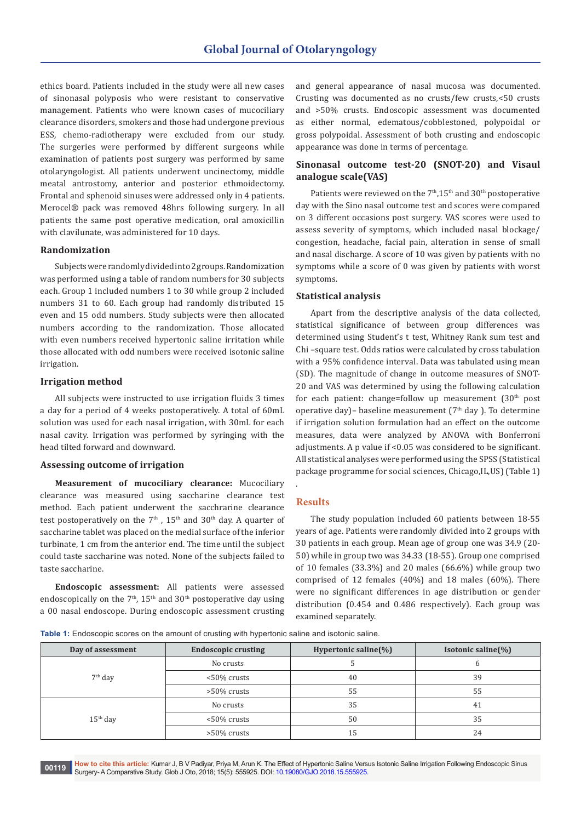ethics board. Patients included in the study were all new cases of sinonasal polyposis who were resistant to conservative management. Patients who were known cases of mucociliary clearance disorders, smokers and those had undergone previous ESS, chemo-radiotherapy were excluded from our study. The surgeries were performed by different surgeons while examination of patients post surgery was performed by same otolaryngologist. All patients underwent uncinectomy, middle meatal antrostomy, anterior and posterior ethmoidectomy. Frontal and sphenoid sinuses were addressed only in 4 patients. Merocel® pack was removed 48hrs following surgery. In all patients the same post operative medication, oral amoxicillin with clavilunate, was administered for 10 days.

## **Randomization**

Subjects were randomly divided into 2 groups. Randomization was performed using a table of random numbers for 30 subjects each. Group 1 included numbers 1 to 30 while group 2 included numbers 31 to 60. Each group had randomly distributed 15 even and 15 odd numbers. Study subjects were then allocated numbers according to the randomization. Those allocated with even numbers received hypertonic saline irritation while those allocated with odd numbers were received isotonic saline irrigation.

#### **Irrigation method**

All subjects were instructed to use irrigation fluids 3 times a day for a period of 4 weeks postoperatively. A total of 60mL solution was used for each nasal irrigation, with 30mL for each nasal cavity. Irrigation was performed by syringing with the head tilted forward and downward.

#### **Assessing outcome of irrigation**

**Measurement of mucociliary clearance:** Mucociliary clearance was measured using saccharine clearance test method. Each patient underwent the sacchrarine clearance test postoperatively on the  $7<sup>th</sup>$ ,  $15<sup>th</sup>$  and  $30<sup>th</sup>$  day. A quarter of saccharine tablet was placed on the medial surface of the inferior turbinate, 1 cm from the anterior end. The time until the subject could taste saccharine was noted. None of the subjects failed to taste saccharine.

**Endoscopic assessment:** All patients were assessed endoscopically on the  $7<sup>th</sup>$ ,  $15<sup>th</sup>$  and  $30<sup>th</sup>$  postoperative day using a 00 nasal endoscope. During endoscopic assessment crusting and general appearance of nasal mucosa was documented. Crusting was documented as no crusts/few crusts,<50 crusts and >50% crusts. Endoscopic assessment was documented as either normal, edematous/cobblestoned, polypoidal or gross polypoidal. Assessment of both crusting and endoscopic appearance was done in terms of percentage.

# **Sinonasal outcome test-20 (SNOT-20) and Visaul analogue scale(VAS)**

Patients were reviewed on the 7<sup>th</sup>,15<sup>th</sup> and 30<sup>th</sup> postoperative day with the Sino nasal outcome test and scores were compared on 3 different occasions post surgery. VAS scores were used to assess severity of symptoms, which included nasal blockage/ congestion, headache, facial pain, alteration in sense of small and nasal discharge. A score of 10 was given by patients with no symptoms while a score of 0 was given by patients with worst symptoms.

#### **Statistical analysis**

Apart from the descriptive analysis of the data collected, statistical significance of between group differences was determined using Student's t test, Whitney Rank sum test and Chi –square test. Odds ratios were calculated by cross tabulation with a 95% confidence interval. Data was tabulated using mean (SD). The magnitude of change in outcome measures of SNOT-20 and VAS was determined by using the following calculation for each patient: change=follow up measurement  $(30<sup>th</sup>$  post operative day)– baseline measurement ( $7<sup>th</sup>$  day ). To determine if irrigation solution formulation had an effect on the outcome measures, data were analyzed by ANOVA with Bonferroni adjustments. A p value if <0.05 was considered to be significant. All statistical analyses were performed using the SPSS (Statistical package programme for social sciences, Chicago,IL,US) (Table 1)

#### **Results**

.

The study population included 60 patients between 18-55 years of age. Patients were randomly divided into 2 groups with 30 patients in each group. Mean age of group one was 34.9 (20- 50) while in group two was 34.33 (18-55). Group one comprised of 10 females (33.3%) and 20 males (66.6%) while group two comprised of 12 females (40%) and 18 males (60%). There were no significant differences in age distribution or gender distribution (0.454 and 0.486 respectively). Each group was examined separately.

**Table 1:** Endoscopic scores on the amount of crusting with hypertonic saline and isotonic saline.

| Day of assessment | <b>Endoscopic crusting</b> | Hypertonic saline $(\% )$ | Isotonic saline(%) |
|-------------------|----------------------------|---------------------------|--------------------|
| $7th$ day         | No crusts                  |                           |                    |
|                   | <50% crusts                | 40                        | 39                 |
|                   | $>50\%$ crusts             | 55                        | 55                 |
| $15th$ day        | No crusts                  | 35                        | 41                 |
|                   | $<$ 50% crusts             | 50                        | 35                 |
|                   | $>50\%$ crusts             | 15                        | 24                 |

**How to cite this article:** Kumar J, B V Padiyar, Priya M, Arun K. The Effect of Hypertonic Saline Versus Isotonic Saline Irrigation Following Endoscopic Sinus 00119 **Surgery- A Comparative Study. Glob J Oto**, 2018; 15(5): 555925. DOI: [10.19080/GJO.2018.15.55592](http://dx.doi.org/10.19080/GJO.2018.15.555925)5. **00119080**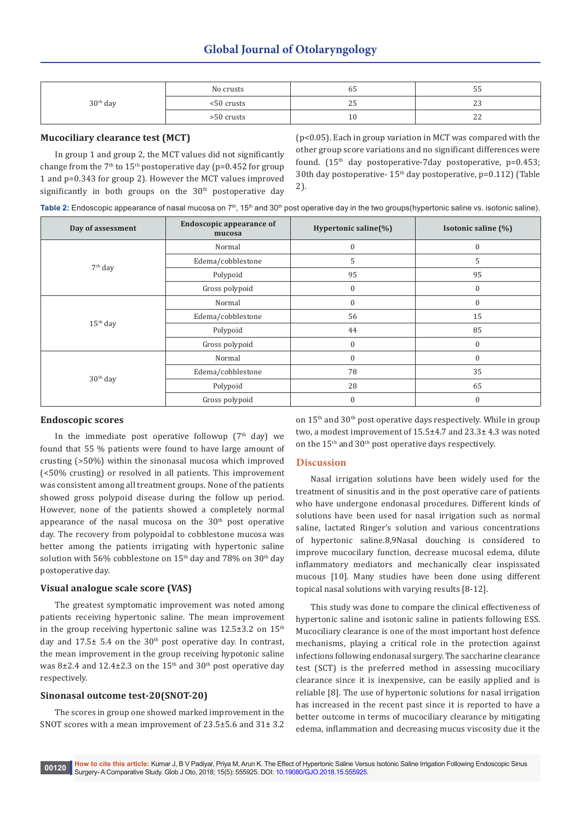| $30th$ day | No crusts  | כס                 | ັບປ            |
|------------|------------|--------------------|----------------|
|            | <50 crusts | $\sim$ $-$<br>ر ہے | ں ہے           |
|            | >50 crusts | ⊥∪                 | ~~<br><u>_</u> |

## **Mucociliary clearance test (MCT)**

In group 1 and group 2, the MCT values did not significantly change from the  $7<sup>th</sup>$  to  $15<sup>th</sup>$  postoperative day (p=0.452 for group 1 and p=0.343 for group 2). However the MCT values improved significantly in both groups on the 30<sup>th</sup> postoperative day (p<0.05). Each in group variation in MCT was compared with the other group score variations and no significant differences were found.  $(15<sup>th</sup>$  day postoperative-7day postoperative, p=0.453; 30th day postoperative- 15<sup>th</sup> day postoperative, p=0.112) (Table 2).

Table 2: Endoscopic appearance of nasal mucosa on 7<sup>th</sup>, 15<sup>th</sup> and 30<sup>th</sup> post operative day in the two groups(hypertonic saline vs. isotonic saline).

| Day of assessment    | <b>Endoscopic appearance of</b><br>mucosa | Hypertonic saline(%) | Isotonic saline (%) |
|----------------------|-------------------------------------------|----------------------|---------------------|
| $7th$ day            | Normal                                    | $\mathbf{0}$         | $\boldsymbol{0}$    |
|                      | Edema/cobblestone                         | 5                    | 5                   |
|                      | Polypoid                                  | 95                   | 95                  |
|                      | Gross polypoid                            | $\mathbf{0}$         | $\boldsymbol{0}$    |
| $15th$ day           | Normal                                    | $\Omega$             | $\mathbf{0}$        |
|                      | Edema/cobblestone                         | 56                   | 15                  |
|                      | Polypoid                                  | 44                   | 85                  |
|                      | Gross polypoid                            | $\mathbf{0}$         | $\boldsymbol{0}$    |
| 30 <sup>th</sup> day | Normal                                    | $\mathbf{0}$         | $\boldsymbol{0}$    |
|                      | Edema/cobblestone                         | 78                   | 35                  |
|                      | Polypoid                                  | 28                   | 65                  |
|                      | Gross polypoid                            | $\Omega$             | $\mathbf{0}$        |

#### **Endoscopic scores**

In the immediate post operative followup ( $7<sup>th</sup>$  day) we found that 55 % patients were found to have large amount of crusting (>50%) within the sinonasal mucosa which improved (<50% crusting) or resolved in all patients. This improvement was consistent among all treatment groups. None of the patients showed gross polypoid disease during the follow up period. However, none of the patients showed a completely normal appearance of the nasal mucosa on the  $30<sup>th</sup>$  post operative day. The recovery from polypoidal to cobblestone mucosa was better among the patients irrigating with hypertonic saline solution with 56% cobblestone on 15<sup>th</sup> day and 78% on 30<sup>th</sup> day postoperative day.

#### **Visual analogue scale score (VAS)**

The greatest symptomatic improvement was noted among patients receiving hypertonic saline. The mean improvement in the group receiving hypertonic saline was  $12.5\pm3.2$  on  $15<sup>th</sup>$ day and  $17.5\pm 5.4$  on the  $30<sup>th</sup>$  post operative day. In contrast, the mean improvement in the group receiving hypotonic saline was 8 $\pm$ 2.4 and 12.4 $\pm$ 2.3 on the 15<sup>th</sup> and 30<sup>th</sup> post operative day respectively.

#### **Sinonasal outcome test-20(SNOT-20)**

The scores in group one showed marked improvement in the SNOT scores with a mean improvement of 23.5±5.6 and 31± 3.2 on  $15<sup>th</sup>$  and  $30<sup>th</sup>$  post operative days respectively. While in group two, a modest improvement of 15.5±4.7 and 23.3± 4.3 was noted on the 15th and 30th post operative days respectively.

#### **Discussion**

Nasal irrigation solutions have been widely used for the treatment of sinusitis and in the post operative care of patients who have undergone endonasal procedures. Different kinds of solutions have been used for nasal irrigation such as normal saline, lactated Ringer's solution and various concentrations of hypertonic saline.8,9Nasal douching is considered to improve mucocilary function, decrease mucosal edema, dilute inflammatory mediators and mechanically clear inspissated mucous [10]. Many studies have been done using different topical nasal solutions with varying results [8-12].

This study was done to compare the clinical effectiveness of hypertonic saline and isotonic saline in patients following ESS. Mucociliary clearance is one of the most important host defence mechanisms, playing a critical role in the protection against infections following endonasal surgery. The saccharine clearance test (SCT) is the preferred method in assessing mucociliary clearance since it is inexpensive, can be easily applied and is reliable [8]. The use of hypertonic solutions for nasal irrigation has increased in the recent past since it is reported to have a better outcome in terms of mucociliary clearance by mitigating edema, inflammation and decreasing mucus viscosity due it the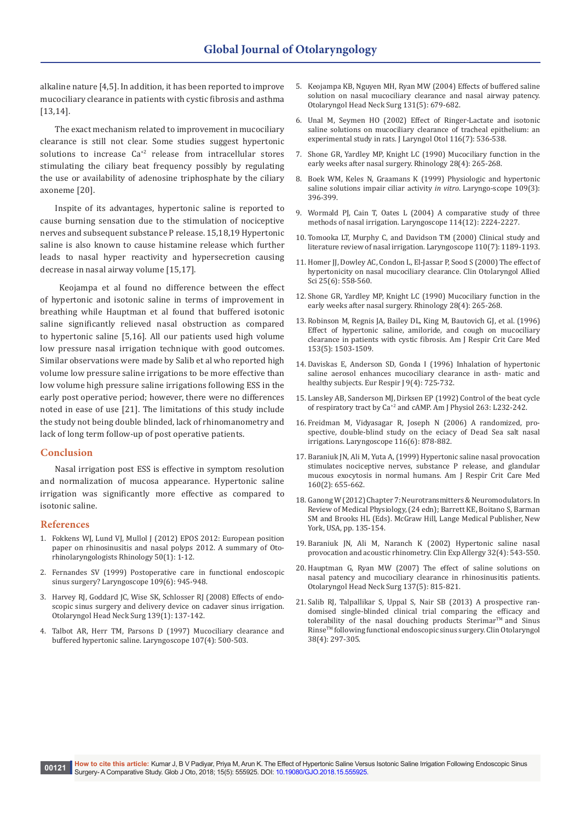alkaline nature [4,5]. In addition, it has been reported to improve mucociliary clearance in patients with cystic fibrosis and asthma [13,14].

The exact mechanism related to improvement in mucociliary clearance is still not clear. Some studies suggest hypertonic solutions to increase Ca+2 release from intracellular stores stimulating the ciliary beat frequency possibly by regulating the use or availability of adenosine triphosphate by the ciliary axoneme [20].

Inspite of its advantages, hypertonic saline is reported to cause burning sensation due to the stimulation of nociceptive nerves and subsequent substance P release. 15,18,19 Hypertonic saline is also known to cause histamine release which further leads to nasal hyper reactivity and hypersecretion causing decrease in nasal airway volume [15,17].

 Keojampa et al found no difference between the effect of hypertonic and isotonic saline in terms of improvement in breathing while Hauptman et al found that buffered isotonic saline significantly relieved nasal obstruction as compared to hypertonic saline [5,16]. All our patients used high volume low pressure nasal irrigation technique with good outcomes. Similar observations were made by Salib et al who reported high volume low pressure saline irrigations to be more effective than low volume high pressure saline irrigations following ESS in the early post operative period; however, there were no differences noted in ease of use [21]. The limitations of this study include the study not being double blinded, lack of rhinomanometry and lack of long term follow-up of post operative patients.

#### **Conclusion**

Nasal irrigation post ESS is effective in symptom resolution and normalization of mucosa appearance. Hypertonic saline irrigation was significantly more effective as compared to isotonic saline.

#### **References**

- 1. [Fokkens WJ, Lund VJ, Mullol J \(2012\) EPOS 2012: European position](https://www.ncbi.nlm.nih.gov/pubmed/22469599)  [paper on rhinosinusitis and nasal polyps 2012. A summary of Oto](https://www.ncbi.nlm.nih.gov/pubmed/22469599)[rhinolaryngologists Rhinology 50\(1\): 1-12.](https://www.ncbi.nlm.nih.gov/pubmed/22469599)
- 2. [Fernandes SV \(1999\) Postoperative care in functional endoscopic](https://www.ncbi.nlm.nih.gov/pubmed/10369288)  [sinus surgery? Laryngoscope 109\(6\): 945-948.](https://www.ncbi.nlm.nih.gov/pubmed/10369288)
- 3. [Harvey RJ, Goddard JC, Wise SK, Schlosser RJ \(2008\) Effects of endo](https://www.ncbi.nlm.nih.gov/pubmed/18585576)[scopic sinus surgery and delivery device on cadaver sinus irrigation.](https://www.ncbi.nlm.nih.gov/pubmed/18585576)  [Otolaryngol Head Neck Surg 139\(1\): 137-142.](https://www.ncbi.nlm.nih.gov/pubmed/18585576)
- 4. [Talbot AR, Herr TM, Parsons D \(1997\) Mucociliary clearance and](https://www.ncbi.nlm.nih.gov/pubmed/9111380)  [buffered hypertonic saline. Laryngoscope 107\(4\): 500-503.](https://www.ncbi.nlm.nih.gov/pubmed/9111380)
- 5. [Keojampa KB, Nguyen MH, Ryan MW \(2004\) Effects of buffered saline](https://www.ncbi.nlm.nih.gov/pubmed/15523448)  [solution on nasal mucociliary clearance and nasal airway patency.](https://www.ncbi.nlm.nih.gov/pubmed/15523448)  [Otolaryngol Head Neck Surg 131\(5\): 679-682.](https://www.ncbi.nlm.nih.gov/pubmed/15523448)
- 6. [Unal M, Seymen HO \(2002\) Effect of Ringer-Lactate and isotonic](https://www.ncbi.nlm.nih.gov/pubmed/12238674)  [saline solutions on mucociliary clearance of tracheal epithelium: an](https://www.ncbi.nlm.nih.gov/pubmed/12238674)  [experimental study in rats. J Laryngol Otol 116\(7\): 536-538.](https://www.ncbi.nlm.nih.gov/pubmed/12238674)
- 7. [Shone GR, Yardley MP, Knight LC \(1990\) Mucociliary function in the](https://www.ncbi.nlm.nih.gov/pubmed/2293322)  [early weeks after nasal surgery. Rhinology 28\(4\): 265-268.](https://www.ncbi.nlm.nih.gov/pubmed/2293322)
- 8. [Boek WM, Keles N, Graamans K \(1999\) Physiologic and hypertonic](https://www.ncbi.nlm.nih.gov/pubmed/10089964)  [saline solutions impair ciliar activity](https://www.ncbi.nlm.nih.gov/pubmed/10089964) *in vitro*. Laryngo-scope 109(3): [396-399.](https://www.ncbi.nlm.nih.gov/pubmed/10089964)
- 9. [Wormald PJ, Cain T, Oates L \(2004\) A comparative study of three](https://www.ncbi.nlm.nih.gov/pubmed/15564850)  [methods of nasal irrigation. Laryngoscope 114\(12\): 2224-2227.](https://www.ncbi.nlm.nih.gov/pubmed/15564850)
- 10. [Tomooka LT, Murphy C, and Davidson TM \(2000\) Clinical study and](https://www.ncbi.nlm.nih.gov/pubmed/10892694)  [literature review of nasal irrigation. Laryngoscope 110\(7\): 1189-1193.](https://www.ncbi.nlm.nih.gov/pubmed/10892694)
- 11. [Homer JJ, Dowley AC, Condon L, El-Jassar P, Sood S \(2000\) The effect of](https://www.ncbi.nlm.nih.gov/pubmed/11122299)  [hypertonicity on nasal mucociliary clearance. Clin Otolaryngol Allied](https://www.ncbi.nlm.nih.gov/pubmed/11122299)  [Sci 25\(6\): 558-560.](https://www.ncbi.nlm.nih.gov/pubmed/11122299)
- 12. [Shone GR, Yardley MP, Knight LC \(1990\) Mucociliary function in the](https://www.ncbi.nlm.nih.gov/pubmed/2293322)  [early weeks after nasal surgery. Rhinology 28\(4\): 265-268.](https://www.ncbi.nlm.nih.gov/pubmed/2293322)
- 13. [Robinson M, Regnis JA, Bailey DL, King M, Bautovich GJ, et al. \(1996\)](https://www.ncbi.nlm.nih.gov/pubmed/8630593)  [Effect of hypertonic saline, amiloride, and cough on mucociliary](https://www.ncbi.nlm.nih.gov/pubmed/8630593)  [clearance in patients with cystic fibrosis. Am J Respir Crit Care Med](https://www.ncbi.nlm.nih.gov/pubmed/8630593)  [153\(5\): 1503-1509.](https://www.ncbi.nlm.nih.gov/pubmed/8630593)
- 14. [Daviskas E, Anderson SD, Gonda I \(1996\) Inhalation of hypertonic](https://www.ncbi.nlm.nih.gov/pubmed/8726937)  [saline aerosol enhances mucociliary clearance in asth- matic and](https://www.ncbi.nlm.nih.gov/pubmed/8726937)  [healthy subjects. Eur Respir J 9\(4\): 725-732.](https://www.ncbi.nlm.nih.gov/pubmed/8726937)
- 15. Lansley AB, Sanderson MJ, Dirksen EP (1992) Control of the beat cycle of respiratory tract by Ca+2 and cAMP. Am J Physiol 263: L232-242.
- 16. [Freidman M, Vidyasagar R, Joseph N \(2006\) A randomized, pro](https://www.ncbi.nlm.nih.gov/pubmed/16735920)[spective, double-blind study on the eciacy of Dead Sea salt nasal](https://www.ncbi.nlm.nih.gov/pubmed/16735920)  [irrigations. Laryngoscope 116\(6\): 878-882.](https://www.ncbi.nlm.nih.gov/pubmed/16735920)
- 17. [Baraniuk JN, Ali M, Yuta A, \(1999\) Hypertonic saline nasal provocation](https://www.ncbi.nlm.nih.gov/pubmed/10430743)  [stimulates nociceptive nerves, substance P release, and glandular](https://www.ncbi.nlm.nih.gov/pubmed/10430743)  [mucous exocytosis in normal humans. Am J Respir Crit Care Med](https://www.ncbi.nlm.nih.gov/pubmed/10430743)  [160\(2\): 655-662.](https://www.ncbi.nlm.nih.gov/pubmed/10430743)
- 18. Ganong W (2012) Chapter 7: Neurotransmitters & Neuromodulators. In Review of Medical Physiology, (24 edn); Barrett KE, Boitano S, Barman SM and Brooks HL (Eds). McGraw Hill, Lange Medical Publisher, New York, USA, pp. 135-154.
- 19. [Baraniuk JN, Ali M, Naranch K \(2002\) Hypertonic saline nasal](https://www.ncbi.nlm.nih.gov/pubmed/11972600)  [provocation and acoustic rhinometry. Clin Exp Allergy 32\(4\): 543-550.](https://www.ncbi.nlm.nih.gov/pubmed/11972600)
- 20. [Hauptman G, Ryan MW \(2007\) The effect of saline solutions on](https://www.ncbi.nlm.nih.gov/pubmed/17967652)  [nasal patency and mucociliary clearance in rhinosinusitis patients.](https://www.ncbi.nlm.nih.gov/pubmed/17967652)  [Otolaryngol Head Neck Surg 137\(5\): 815-821.](https://www.ncbi.nlm.nih.gov/pubmed/17967652)
- 21. [Salib RJ, Talpallikar S, Uppal S, Nair SB \(2013\) A prospective ran](https://www.ncbi.nlm.nih.gov/pubmed/23714166)[domised single-blinded clinical trial comparing the efficacy and](https://www.ncbi.nlm.nih.gov/pubmed/23714166)  tolerability of the nasal douching products Sterimar<sup>TM</sup> and Sinus [RinseTM following functional endoscopic sinus surgery. Clin Otolaryngol](https://www.ncbi.nlm.nih.gov/pubmed/23714166)  [38\(4\): 297-305.](https://www.ncbi.nlm.nih.gov/pubmed/23714166)